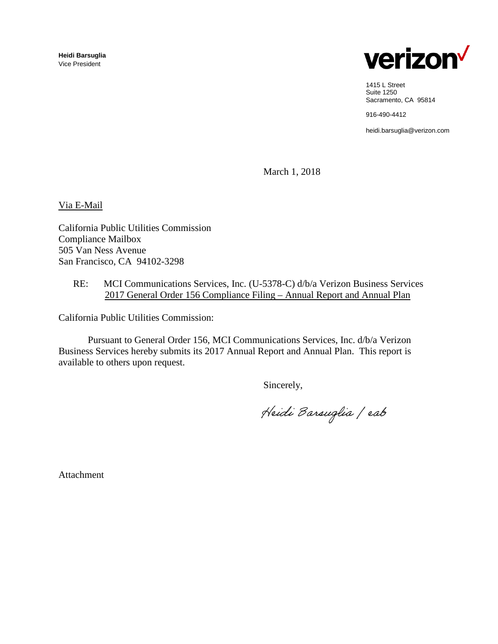

1415 L Street Suite 1250 Sacramento, CA 95814

916-490-4412

heidi.barsuglia@verizon.com

March 1, 2018

Via E-Mail

California Public Utilities Commission Compliance Mailbox 505 Van Ness Avenue San Francisco, CA 94102-3298

## RE: MCI Communications Services, Inc. (U-5378-C) d/b/a Verizon Business Services 2017 General Order 156 Compliance Filing – Annual Report and Annual Plan

California Public Utilities Commission:

Pursuant to General Order 156, MCI Communications Services, Inc. d/b/a Verizon Business Services hereby submits its 2017 Annual Report and Annual Plan. This report is available to others upon request.

Sincerely,

Heidi Barsuglia / eab

Attachment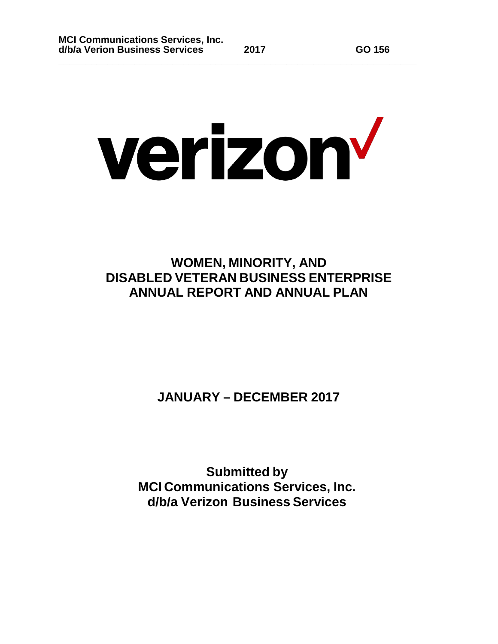**\_\_\_\_\_\_\_\_\_\_\_\_\_\_\_\_\_\_\_\_\_\_\_\_\_\_\_\_\_\_\_\_\_\_\_\_\_\_\_\_\_\_\_\_\_\_\_\_\_\_\_\_\_\_\_\_\_\_\_\_\_\_\_\_\_\_**

## verizon<sup>v</sup>

**WOMEN, MINORITY, AND DISABLED VETERAN BUSINESS ENTERPRISE ANNUAL REPORT AND ANNUAL PLAN**

**JANUARY – DECEMBER 2017**

**Submitted by MCI Communications Services, Inc. d/b/a Verizon Business Services**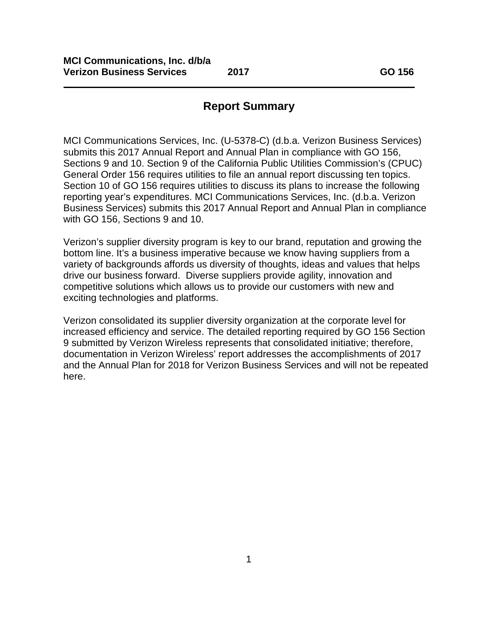## **Report Summary**

MCI Communications Services, Inc. (U-5378-C) (d.b.a. Verizon Business Services) submits this 2017 Annual Report and Annual Plan in compliance with GO 156, Sections 9 and 10. Section 9 of the California Public Utilities Commission's (CPUC) General Order 156 requires utilities to file an annual report discussing ten topics. Section 10 of GO 156 requires utilities to discuss its plans to increase the following reporting year's expenditures. MCI Communications Services, Inc. (d.b.a. Verizon Business Services) submits this 2017 Annual Report and Annual Plan in compliance with GO 156, Sections 9 and 10.

Verizon's supplier diversity program is key to our brand, reputation and growing the bottom line. It's a business imperative because we know having suppliers from a variety of backgrounds affords us diversity of thoughts, ideas and values that helps drive our business forward. Diverse suppliers provide agility, innovation and competitive solutions which allows us to provide our customers with new and exciting technologies and platforms.

Verizon consolidated its supplier diversity organization at the corporate level for increased efficiency and service. The detailed reporting required by GO 156 Section 9 submitted by Verizon Wireless represents that consolidated initiative; therefore, documentation in Verizon Wireless' report addresses the accomplishments of 2017 and the Annual Plan for 2018 for Verizon Business Services and will not be repeated here.